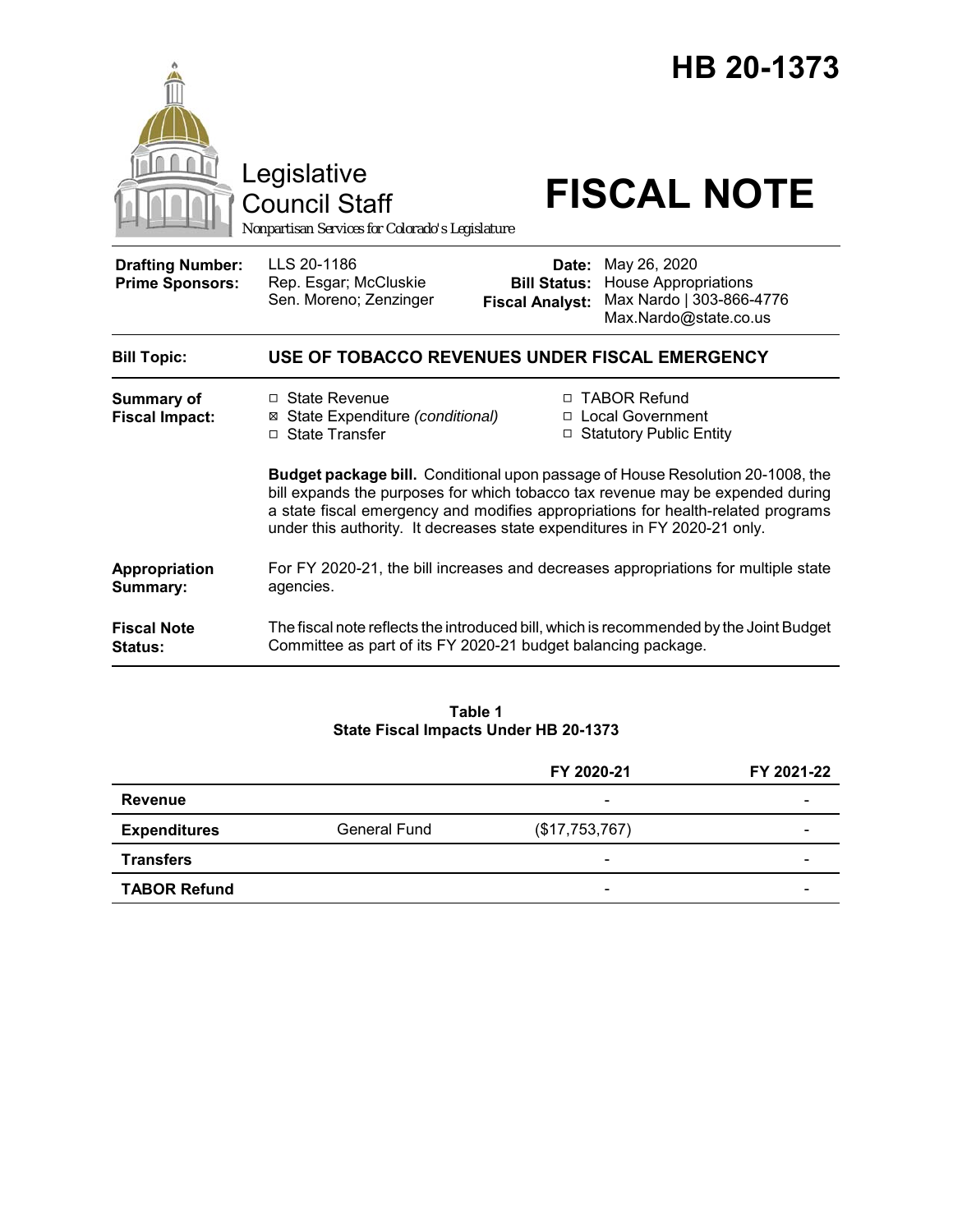

**Table 1 State Fiscal Impacts Under HB 20-1373**

|                     |              | FY 2020-21               | FY 2021-22 |
|---------------------|--------------|--------------------------|------------|
| <b>Revenue</b>      |              | $\overline{\phantom{a}}$ |            |
| <b>Expenditures</b> | General Fund | (\$17,753,767)           | -          |
| <b>Transfers</b>    |              | $\overline{\phantom{a}}$ |            |
| <b>TABOR Refund</b> |              | $\overline{\phantom{0}}$ |            |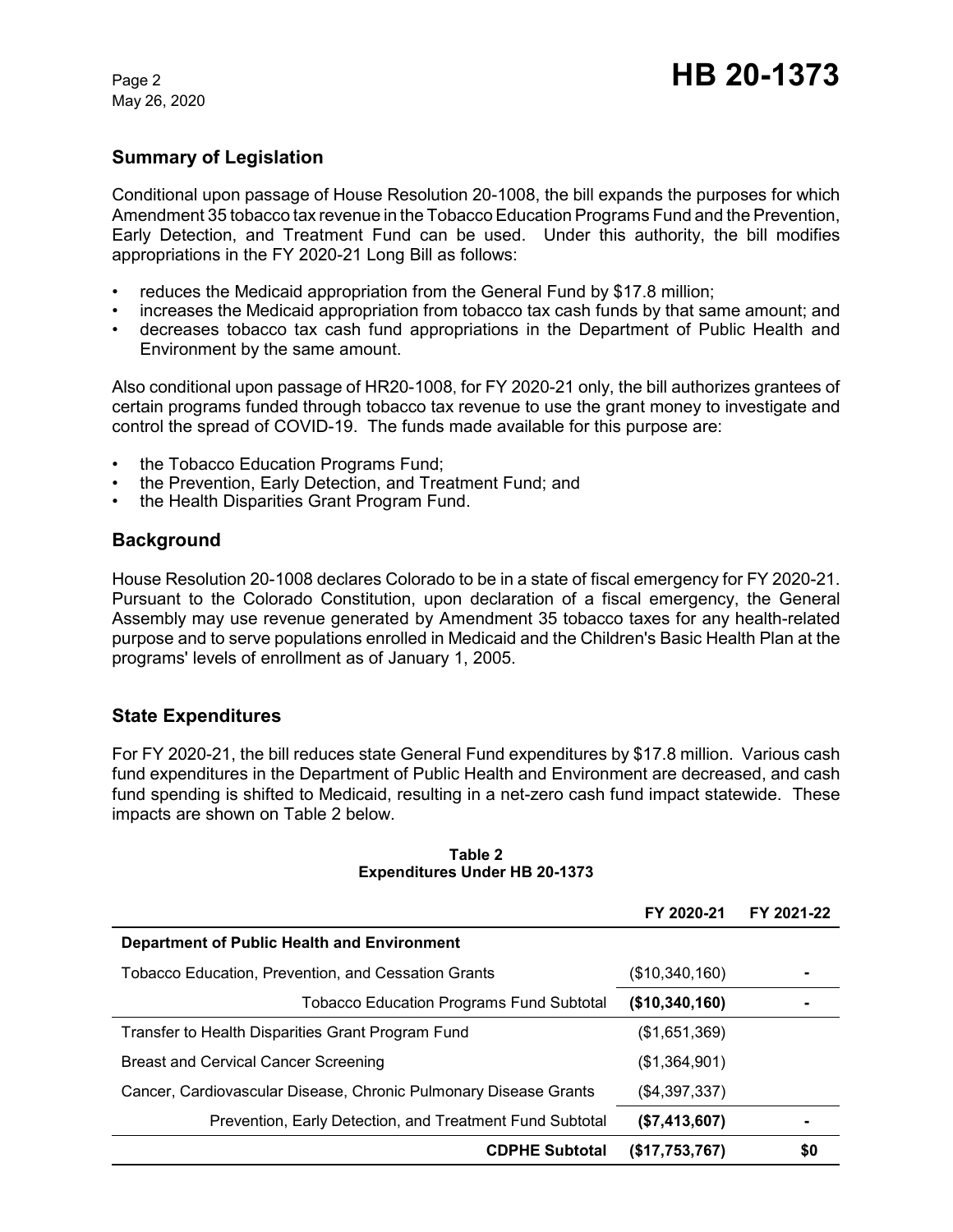May 26, 2020

# **Summary of Legislation**

Conditional upon passage of House Resolution 20-1008, the bill expands the purposes for which Amendment 35 tobacco tax revenue in the Tobacco Education Programs Fund and the Prevention, Early Detection, and Treatment Fund can be used. Under this authority, the bill modifies appropriations in the FY 2020-21 Long Bill as follows:

- reduces the Medicaid appropriation from the General Fund by \$17.8 million;
- increases the Medicaid appropriation from tobacco tax cash funds by that same amount; and
- decreases tobacco tax cash fund appropriations in the Department of Public Health and Environment by the same amount.

Also conditional upon passage of HR20-1008, for FY 2020-21 only, the bill authorizes grantees of certain programs funded through tobacco tax revenue to use the grant money to investigate and control the spread of COVID-19. The funds made available for this purpose are:

- the Tobacco Education Programs Fund;
- the Prevention, Early Detection, and Treatment Fund; and
- the Health Disparities Grant Program Fund.

## **Background**

House Resolution 20-1008 declares Colorado to be in a state of fiscal emergency for FY 2020-21. Pursuant to the Colorado Constitution, upon declaration of a fiscal emergency, the General Assembly may use revenue generated by Amendment 35 tobacco taxes for any health-related purpose and to serve populations enrolled in Medicaid and the Children's Basic Health Plan at the programs' levels of enrollment as of January 1, 2005.

# **State Expenditures**

For FY 2020-21, the bill reduces state General Fund expenditures by \$17.8 million. Various cash fund expenditures in the Department of Public Health and Environment are decreased, and cash fund spending is shifted to Medicaid, resulting in a net-zero cash fund impact statewide. These impacts are shown on Table 2 below.

|                                                                  | FY 2020-21     | FY 2021-22 |
|------------------------------------------------------------------|----------------|------------|
| <b>Department of Public Health and Environment</b>               |                |            |
| Tobacco Education, Prevention, and Cessation Grants              | (\$10,340,160) |            |
| <b>Tobacco Education Programs Fund Subtotal</b>                  | (\$10,340,160) |            |
| Transfer to Health Disparities Grant Program Fund                | (S1.651.369)   |            |
| <b>Breast and Cervical Cancer Screening</b>                      | (\$1,364,901)  |            |
| Cancer, Cardiovascular Disease, Chronic Pulmonary Disease Grants | (\$4,397,337)  |            |
| Prevention, Early Detection, and Treatment Fund Subtotal         | (\$7,413,607)  |            |
| <b>CDPHE Subtotal</b>                                            | (S17,753,767)  | \$0        |

#### **Table 2 Expenditures Under HB 20-1373**